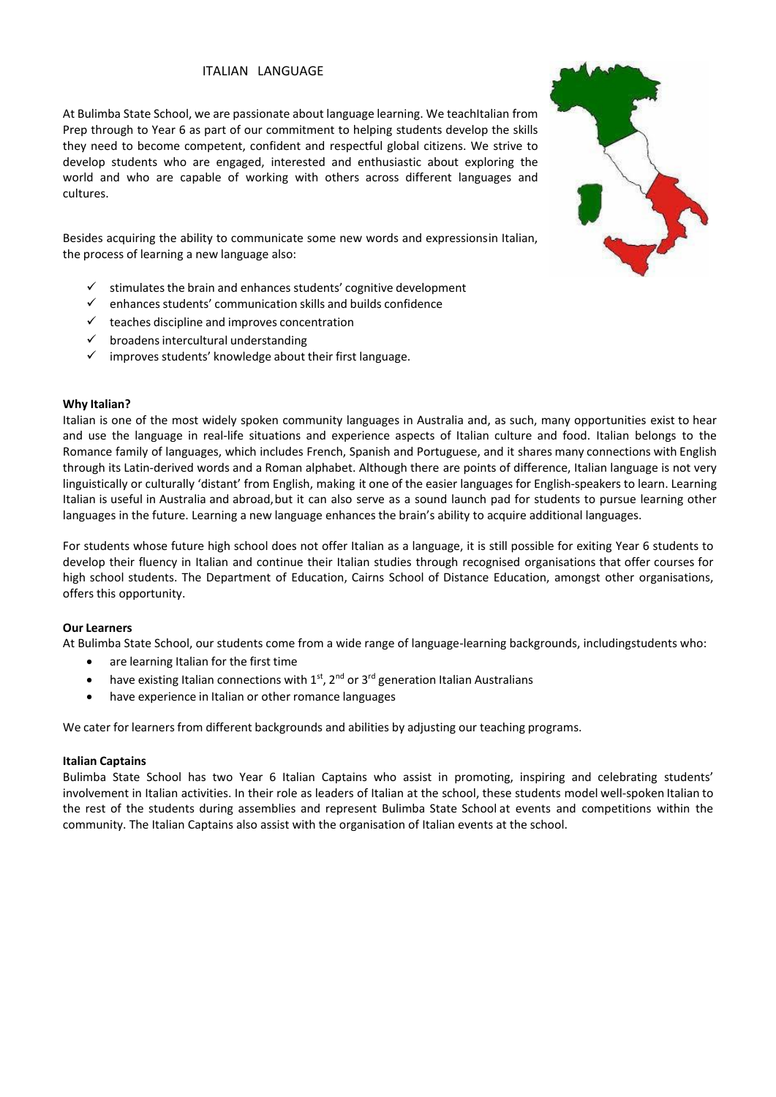# ITALIAN LANGUAGE

At Bulimba State School, we are passionate about language learning. We teachItalian from Prep through to Year 6 as part of our commitment to helping students develop the skills they need to become competent, confident and respectful global citizens. We strive to develop students who are engaged, interested and enthusiastic about exploring the world and who are capable of working with others across different languages and cultures.

Besides acquiring the ability to communicate some new words and expressionsin Italian, the process of learning a new language also:

- stimulates the brain and enhances students' cognitive development
- $\checkmark$  enhances students' communication skills and builds confidence
- $\checkmark$  teaches discipline and improves concentration
- broadens intercultural understanding
- $\checkmark$  improves students' knowledge about their first language.

## **Why Italian?**

Italian is one of the most widely spoken community languages in Australia and, as such, many opportunities exist to hear and use the language in real-life situations and experience aspects of Italian culture and food. Italian belongs to the Romance family of languages, which includes French, Spanish and Portuguese, and it shares many connections with English through its Latin-derived words and a Roman alphabet. Although there are points of difference, Italian language is not very linguistically or culturally 'distant' from English, making it one of the easier languages for English-speakers to learn. Learning Italian is useful in Australia and abroad,but it can also serve as a sound launch pad for students to pursue learning other languages in the future. Learning a new language enhances the brain's ability to acquire additional languages.

For students whose future high school does not offer Italian as a language, it is still possible for exiting Year 6 students to develop their fluency in Italian and continue their Italian studies through recognised organisations that offer courses for high school students. The Department of Education, Cairns School of Distance Education, amongst other organisations, offers this opportunity.

## **Our Learners**

At Bulimba State School, our students come from a wide range of language-learning backgrounds, includingstudents who:

- are learning Italian for the first time
- have existing Italian connections with  $1<sup>st</sup>$ ,  $2<sup>nd</sup>$  or  $3<sup>rd</sup>$  generation Italian Australians
- have experience in Italian or other romance languages

We cater for learners from different backgrounds and abilities by adjusting our teaching programs.

#### **Italian Captains**

Bulimba State School has two Year 6 Italian Captains who assist in promoting, inspiring and celebrating students' involvement in Italian activities. In their role as leaders of Italian at the school, these students model well-spoken Italian to the rest of the students during assemblies and represent Bulimba State School at events and competitions within the community. The Italian Captains also assist with the organisation of Italian events at the school.